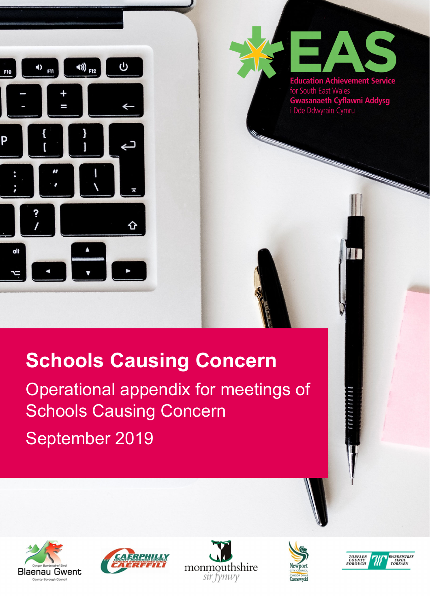



for South East Wales **Gwasanaeth Cyflawni Addysg**<br>i Dde Ddwyrain Cymru

# **Schools Causing Concern**

Operational appendix for meetings of Schools Causing Concern

September 2019











,,,,,,,,,,,,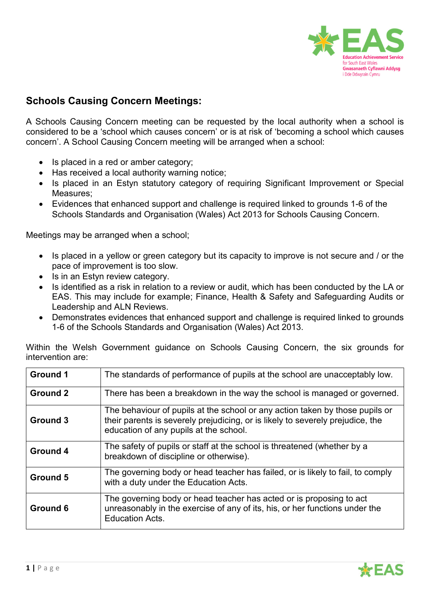

## **Schools Causing Concern Meetings:**

A Schools Causing Concern meeting can be requested by the local authority when a school is considered to be a 'school which causes concern' or is at risk of 'becoming a school which causes concern'. A School Causing Concern meeting will be arranged when a school:

- Is placed in a red or amber category;
- Has received a local authority warning notice;
- Is placed in an Estyn statutory category of requiring Significant Improvement or Special Measures;
- Evidences that enhanced support and challenge is required linked to grounds 1-6 of the Schools Standards and Organisation (Wales) Act 2013 for Schools Causing Concern.

Meetings may be arranged when a school;

- Is placed in a yellow or green category but its capacity to improve is not secure and / or the pace of improvement is too slow.
- Is in an Estyn review category.
- Is identified as a risk in relation to a review or audit, which has been conducted by the LA or EAS. This may include for example; Finance, Health & Safety and Safeguarding Audits or Leadership and ALN Reviews.
- Demonstrates evidences that enhanced support and challenge is required linked to grounds 1-6 of the Schools Standards and Organisation (Wales) Act 2013.

| <b>Ground 1</b> | The standards of performance of pupils at the school are unacceptably low.                                                                                                                               |  |
|-----------------|----------------------------------------------------------------------------------------------------------------------------------------------------------------------------------------------------------|--|
| <b>Ground 2</b> | There has been a breakdown in the way the school is managed or governed.                                                                                                                                 |  |
| <b>Ground 3</b> | The behaviour of pupils at the school or any action taken by those pupils or<br>their parents is severely prejudicing, or is likely to severely prejudice, the<br>education of any pupils at the school. |  |
| <b>Ground 4</b> | The safety of pupils or staff at the school is threatened (whether by a<br>breakdown of discipline or otherwise).                                                                                        |  |
| <b>Ground 5</b> | The governing body or head teacher has failed, or is likely to fail, to comply<br>with a duty under the Education Acts.                                                                                  |  |
| <b>Ground 6</b> | The governing body or head teacher has acted or is proposing to act<br>unreasonably in the exercise of any of its, his, or her functions under the<br><b>Education Acts.</b>                             |  |

Within the Welsh Government guidance on Schools Causing Concern, the six grounds for intervention are:

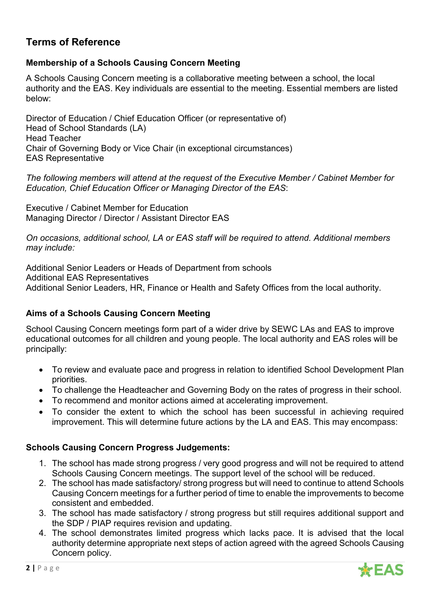## **Terms of Reference**

## **Membership of a Schools Causing Concern Meeting**

A Schools Causing Concern meeting is a collaborative meeting between a school, the local authority and the EAS. Key individuals are essential to the meeting. Essential members are listed below:

Director of Education / Chief Education Officer (or representative of) Head of School Standards (LA) Head Teacher Chair of Governing Body or Vice Chair (in exceptional circumstances) EAS Representative

*The following members will attend at the request of the Executive Member / Cabinet Member for Education, Chief Education Officer or Managing Director of the EAS*:

Executive / Cabinet Member for Education Managing Director / Director / Assistant Director EAS

*On occasions, additional school, LA or EAS staff will be required to attend. Additional members may include:* 

Additional Senior Leaders or Heads of Department from schools Additional EAS Representatives Additional Senior Leaders, HR, Finance or Health and Safety Offices from the local authority.

## **Aims of a Schools Causing Concern Meeting**

School Causing Concern meetings form part of a wider drive by SEWC LAs and EAS to improve educational outcomes for all children and young people. The local authority and EAS roles will be principally:

- To review and evaluate pace and progress in relation to identified School Development Plan priorities.
- To challenge the Headteacher and Governing Body on the rates of progress in their school.
- To recommend and monitor actions aimed at accelerating improvement.
- To consider the extent to which the school has been successful in achieving required improvement. This will determine future actions by the LA and EAS. This may encompass:

## **Schools Causing Concern Progress Judgements:**

- 1. The school has made strong progress / very good progress and will not be required to attend Schools Causing Concern meetings. The support level of the school will be reduced.
- 2. The school has made satisfactory/ strong progress but will need to continue to attend Schools Causing Concern meetings for a further period of time to enable the improvements to become consistent and embedded.
- 3. The school has made satisfactory / strong progress but still requires additional support and the SDP / PIAP requires revision and updating.
- 4. The school demonstrates limited progress which lacks pace. It is advised that the local authority determine appropriate next steps of action agreed with the agreed Schools Causing Concern policy.

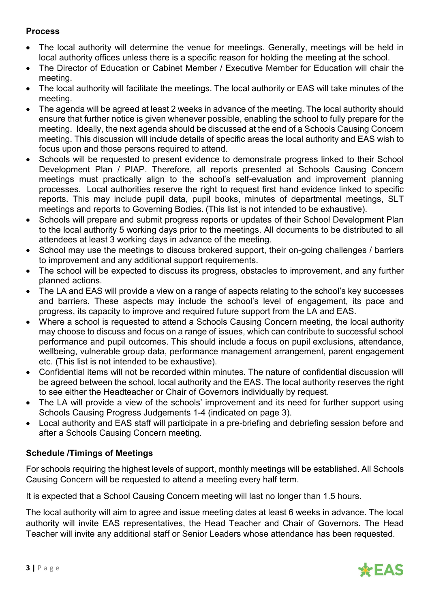## **Process**

- The local authority will determine the venue for meetings. Generally, meetings will be held in local authority offices unless there is a specific reason for holding the meeting at the school.
- The Director of Education or Cabinet Member / Executive Member for Education will chair the meeting.
- The local authority will facilitate the meetings. The local authority or EAS will take minutes of the meeting.
- The agenda will be agreed at least 2 weeks in advance of the meeting. The local authority should ensure that further notice is given whenever possible, enabling the school to fully prepare for the meeting. Ideally, the next agenda should be discussed at the end of a Schools Causing Concern meeting. This discussion will include details of specific areas the local authority and EAS wish to focus upon and those persons required to attend.
- Schools will be requested to present evidence to demonstrate progress linked to their School Development Plan / PIAP. Therefore, all reports presented at Schools Causing Concern meetings must practically align to the school's self-evaluation and improvement planning processes. Local authorities reserve the right to request first hand evidence linked to specific reports. This may include pupil data, pupil books, minutes of departmental meetings, SLT meetings and reports to Governing Bodies. (This list is not intended to be exhaustive).
- Schools will prepare and submit progress reports or updates of their School Development Plan to the local authority 5 working days prior to the meetings. All documents to be distributed to all attendees at least 3 working days in advance of the meeting.
- School may use the meetings to discuss brokered support, their on-going challenges / barriers to improvement and any additional support requirements.
- The school will be expected to discuss its progress, obstacles to improvement, and any further planned actions.
- The LA and EAS will provide a view on a range of aspects relating to the school's key successes and barriers. These aspects may include the school's level of engagement, its pace and progress, its capacity to improve and required future support from the LA and EAS.
- Where a school is requested to attend a Schools Causing Concern meeting, the local authority may choose to discuss and focus on a range of issues, which can contribute to successful school performance and pupil outcomes. This should include a focus on pupil exclusions, attendance, wellbeing, vulnerable group data, performance management arrangement, parent engagement etc. (This list is not intended to be exhaustive).
- Confidential items will not be recorded within minutes. The nature of confidential discussion will be agreed between the school, local authority and the EAS. The local authority reserves the right to see either the Headteacher or Chair of Governors individually by request.
- The LA will provide a view of the schools' improvement and its need for further support using Schools Causing Progress Judgements 1-4 (indicated on page 3).
- Local authority and EAS staff will participate in a pre-briefing and debriefing session before and after a Schools Causing Concern meeting.

## **Schedule /Timings of Meetings**

For schools requiring the highest levels of support, monthly meetings will be established. All Schools Causing Concern will be requested to attend a meeting every half term.

It is expected that a School Causing Concern meeting will last no longer than 1.5 hours.

The local authority will aim to agree and issue meeting dates at least 6 weeks in advance. The local authority will invite EAS representatives, the Head Teacher and Chair of Governors. The Head Teacher will invite any additional staff or Senior Leaders whose attendance has been requested.

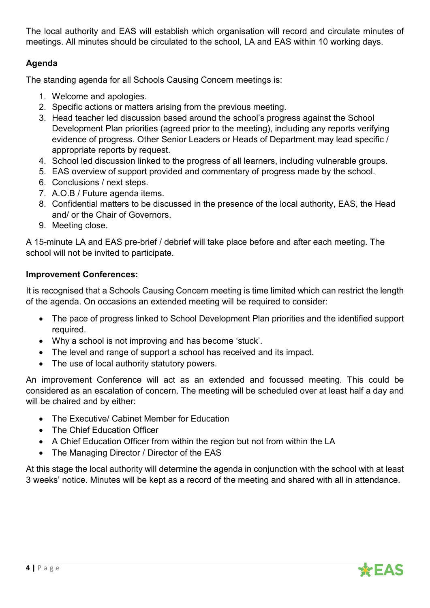The local authority and EAS will establish which organisation will record and circulate minutes of meetings. All minutes should be circulated to the school, LA and EAS within 10 working days.

## **Agenda**

The standing agenda for all Schools Causing Concern meetings is:

- 1. Welcome and apologies.
- 2. Specific actions or matters arising from the previous meeting.
- 3. Head teacher led discussion based around the school's progress against the School Development Plan priorities (agreed prior to the meeting), including any reports verifying evidence of progress. Other Senior Leaders or Heads of Department may lead specific / appropriate reports by request.
- 4. School led discussion linked to the progress of all learners, including vulnerable groups.
- 5. EAS overview of support provided and commentary of progress made by the school.
- 6. Conclusions / next steps.
- 7. A.O.B / Future agenda items.
- 8. Confidential matters to be discussed in the presence of the local authority, EAS, the Head and/ or the Chair of Governors.
- 9. Meeting close.

A 15-minute LA and EAS pre-brief / debrief will take place before and after each meeting. The school will not be invited to participate.

## **Improvement Conferences:**

It is recognised that a Schools Causing Concern meeting is time limited which can restrict the length of the agenda. On occasions an extended meeting will be required to consider:

- The pace of progress linked to School Development Plan priorities and the identified support required.
- Why a school is not improving and has become 'stuck'.
- The level and range of support a school has received and its impact.
- The use of local authority statutory powers.

An improvement Conference will act as an extended and focussed meeting. This could be considered as an escalation of concern. The meeting will be scheduled over at least half a day and will be chaired and by either:

- The Executive/ Cabinet Member for Education
- The Chief Education Officer
- A Chief Education Officer from within the region but not from within the LA
- The Managing Director / Director of the EAS

At this stage the local authority will determine the agenda in conjunction with the school with at least 3 weeks' notice. Minutes will be kept as a record of the meeting and shared with all in attendance.